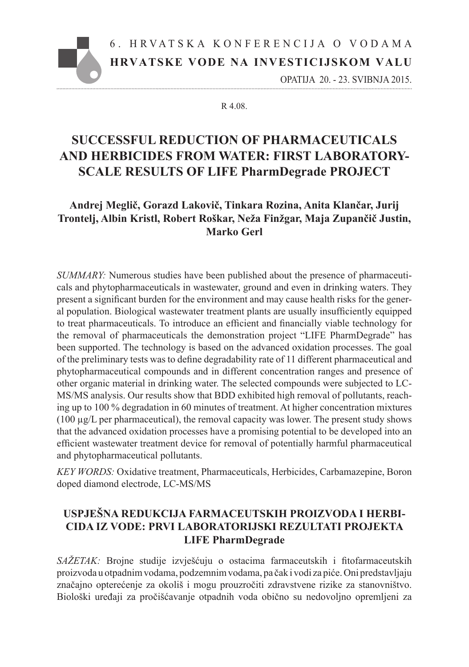# **HRVATSKE VODE NA INVESTICIJSKOM VALU** 6 . H RVAT S K A K O N F E R E N C I J A O V O D A M A

OPATIJA 20. - 23. SVIBNJA 2015.

#### R 4.08.

## **SUCCESSFUL REDUCTION OF PHARMACEUTICALS AND HERBICIDES FROM WATER: FIRST LABORATORY-SCALE RESULTS OF LIFE PharmDegrade PROJECT**

## **Andrej Meglič, Gorazd Lakovič, Tinkara Rozina, Anita Klančar, Jurij Trontelj, Albin Kristl, Robert Roškar, Neža Finžgar, Maja Zupančič Justin, Marko Gerl**

*SUMMARY:* Numerous studies have been published about the presence of pharmaceuticals and phytopharmaceuticals in wastewater, ground and even in drinking waters. They present a significant burden for the environment and may cause health risks for the general population. Biological wastewater treatment plants are usually insufficiently equipped to treat pharmaceuticals. To introduce an efficient and financially viable technology for the removal of pharmaceuticals the demonstration project "LIFE PharmDegrade" has been supported. The technology is based on the advanced oxidation processes. The goal of the preliminary tests was to define degradability rate of 11 different pharmaceutical and phytopharmaceutical compounds and in different concentration ranges and presence of other organic material in drinking water. The selected compounds were subjected to LC-MS/MS analysis. Our results show that BDD exhibited high removal of pollutants, reaching up to 100 % degradation in 60 minutes of treatment. At higher concentration mixtures (100 µg/L per pharmaceutical), the removal capacity was lower. The present study shows that the advanced oxidation processes have a promising potential to be developed into an efficient wastewater treatment device for removal of potentially harmful pharmaceutical and phytopharmaceutical pollutants.

*KEY WORDS:* Oxidative treatment, Pharmaceuticals, Herbicides, Carbamazepine, Boron doped diamond electrode, LC-MS/MS

## **USPJEŠNA REDUKCIJA FARMACEUTSKIH PROIZVODA I HERBI-CIDA IZ VODE: PRVI LABORATORIJSKI REZULTATI PROJEKTA LIFE PharmDegrade**

*SAŽETAK:* Brojne studije izvješćuju o ostacima farmaceutskih i fitofarmaceutskih proizvoda u otpadnim vodama, podzemnim vodama, pa čak i vodi za piće. Oni predstavljaju značajno opterećenje za okoliš i mogu prouzročiti zdravstvene rizike za stanovništvo. Biološki uređaji za pročišćavanje otpadnih voda obično su nedovoljno opremljeni za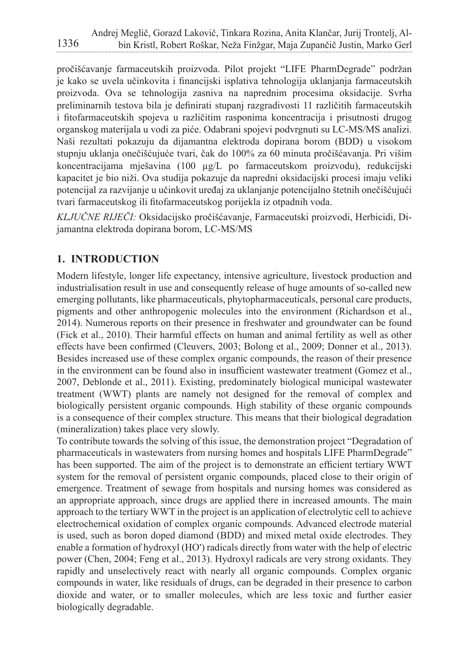pročišćavanje farmaceutskih proizvoda. Pilot projekt "LIFE PharmDegrade" podržan je kako se uvela učinkovita i financijski isplativa tehnologija uklanjanja farmaceutskih proizvoda. Ova se tehnologija zasniva na naprednim procesima oksidacije. Svrha preliminarnih testova bila je definirati stupanj razgradivosti 11 različitih farmaceutskih i fitofarmaceutskih spojeva u različitim rasponima koncentracija i prisutnosti drugog organskog materijala u vodi za piće. Odabrani spojevi podvrgnuti su LC-MS/MS analizi. Naši rezultati pokazuju da dijamantna elektroda dopirana borom (BDD) u visokom stupnju uklanja onečišćujuće tvari, čak do 100% za 60 minuta pročišćavanja. Pri višim koncentracijama mješavina (100 µg/L po farmaceutskom proizvodu), redukcijski kapacitet je bio niži. Ova studija pokazuje da napredni oksidacijski procesi imaju veliki potencijal za razvijanje u učinkovit uređaj za uklanjanje potencijalno štetnih onečišćujući tvari farmaceutskog ili fitofarmaceutskog porijekla iz otpadnih voda.

*KLJUČNE RIJEČI:* Oksidacijsko pročišćavanje, Farmaceutski proizvodi, Herbicidi, Dijamantna elektroda dopirana borom, LC-MS/MS

## **1. INTRODUCTION**

Modern lifestyle, longer life expectancy, intensive agriculture, livestock production and industrialisation result in use and consequently release of huge amounts of so-called new emerging pollutants, like pharmaceuticals, phytopharmaceuticals, personal care products, pigments and other anthropogenic molecules into the environment (Richardson et al., 2014). Numerous reports on their presence in freshwater and groundwater can be found (Fick et al., 2010). Their harmful effects on human and animal fertility as well as other effects have been confirmed (Cleuvers, 2003; Bolong et al., 2009; Donner et al., 2013). Besides increased use of these complex organic compounds, the reason of their presence in the environment can be found also in insufficient wastewater treatment (Gomez et al., 2007, Deblonde et al., 2011). Existing, predominately biological municipal wastewater treatment (WWT) plants are namely not designed for the removal of complex and biologically persistent organic compounds. High stability of these organic compounds is a consequence of their complex structure. This means that their biological degradation (mineralization) takes place very slowly.

To contribute towards the solving of this issue, the demonstration project "Degradation of pharmaceuticals in wastewaters from nursing homes and hospitals LIFE PharmDegrade" has been supported. The aim of the project is to demonstrate an efficient tertiary WWT system for the removal of persistent organic compounds, placed close to their origin of emergence. Treatment of sewage from hospitals and nursing homes was considered as an appropriate approach, since drugs are applied there in increased amounts. The main approach to the tertiary WWT in the project is an application of electrolytic cell to achieve electrochemical oxidation of complex organic compounds. Advanced electrode material is used, such as boron doped diamond (BDD) and mixed metal oxide electrodes. They enable a formation of hydroxyl (HO') radicals directly from water with the help of electric power (Chen, 2004; Feng et al., 2013). Hydroxyl radicals are very strong oxidants. They rapidly and unselectively react with nearly all organic compounds. Complex organic compounds in water, like residuals of drugs, can be degraded in their presence to carbon dioxide and water, or to smaller molecules, which are less toxic and further easier biologically degradable.

1336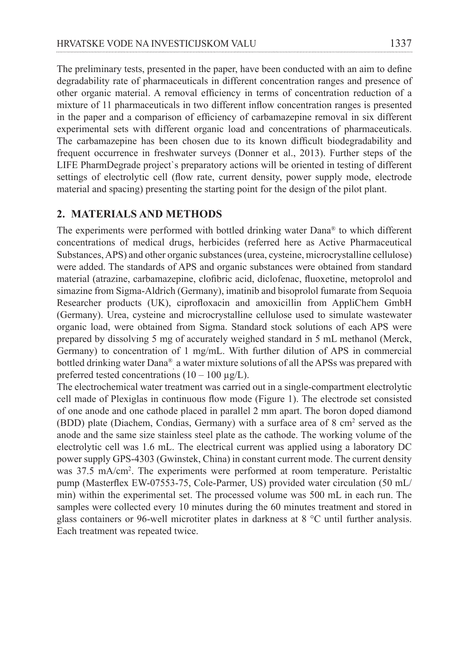The preliminary tests, presented in the paper, have been conducted with an aim to define degradability rate of pharmaceuticals in different concentration ranges and presence of other organic material. A removal efficiency in terms of concentration reduction of a mixture of 11 pharmaceuticals in two different inflow concentration ranges is presented in the paper and a comparison of efficiency of carbamazepine removal in six different experimental sets with different organic load and concentrations of pharmaceuticals. The carbamazepine has been chosen due to its known difficult biodegradability and frequent occurrence in freshwater surveys (Donner et al., 2013). Further steps of the LIFE PharmDegrade project`s preparatory actions will be oriented in testing of different settings of electrolytic cell (flow rate, current density, power supply mode, electrode material and spacing) presenting the starting point for the design of the pilot plant.

#### **2. MATERIALS AND METHODS**

The experiments were performed with bottled drinking water Dana® to which different concentrations of medical drugs, herbicides (referred here as Active Pharmaceutical Substances, APS) and other organic substances (urea, cysteine, microcrystalline cellulose) were added. The standards of APS and organic substances were obtained from standard material (atrazine, carbamazepine, clofibric acid, diclofenac, fluoxetine, metoprolol and simazine from Sigma-Aldrich (Germany), imatinib and bisoprolol fumarate from Sequoia Researcher products (UK), ciprofloxacin and amoxicillin from AppliChem GmbH (Germany). Urea, cysteine and microcrystalline cellulose used to simulate wastewater organic load, were obtained from Sigma. Standard stock solutions of each APS were prepared by dissolving 5 mg of accurately weighed standard in 5 mL methanol (Merck, Germany) to concentration of 1 mg/mL. With further dilution of APS in commercial bottled drinking water Dana® , a water mixture solutions of all the APSs was prepared with preferred tested concentrations  $(10 - 100 \mu g/L)$ .

The electrochemical water treatment was carried out in a single-compartment electrolytic cell made of Plexiglas in continuous flow mode (Figure 1). The electrode set consisted of one anode and one cathode placed in parallel 2 mm apart. The boron doped diamond (BDD) plate (Diachem, Condias, Germany) with a surface area of 8 cm<sup>2</sup> served as the anode and the same size stainless steel plate as the cathode. The working volume of the electrolytic cell was 1.6 mL. The electrical current was applied using a laboratory DC power supply GPS-4303 (Gwinstek, China) in constant current mode. The current density was 37.5 mA/cm2 . The experiments were performed at room temperature. Peristaltic pump (Masterflex EW-07553-75, Cole-Parmer, US) provided water circulation (50 mL/ min) within the experimental set. The processed volume was 500 mL in each run. The samples were collected every 10 minutes during the 60 minutes treatment and stored in glass containers or 96-well microtiter plates in darkness at 8 °C until further analysis. Each treatment was repeated twice.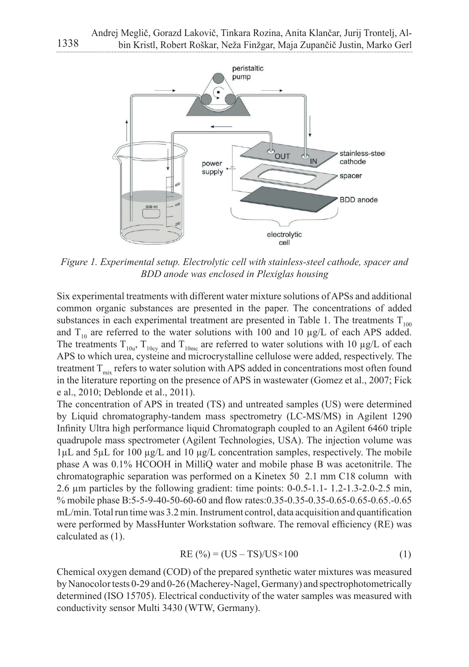

Figure 1. Experimental setup. Electrolytic cell with stainless-steel cathode, spacer and<br>BDD anode was enclosed in Plexiglas housing *BDD anode was enclosed in Plexiglas housing.*

Six experimental treatments with different water mixture solutions of APSs and additional common organic substances are presented in the paper. The concentrations of added substances in each experimental treatment are presented in Table 1. The treatments  $T_{100}$ and  $T_{10}$  are referred to the water solutions with 100 and 10  $\mu$ g/L of each APS added. The treatments  $T_{10u}$ ,  $T_{10cy}$  and  $T_{10me}$  are referred to water solutions with 10  $\mu g/L$  of each  $\Delta$  parameters in Table 1. The APS to which urea, cysteine and microcrystalline cellulose were added, respectively. The The treatment  $T_{mix}$  refers to water solution with APS added in concentrations most often found in the literature reporting on the presence of APS in wastewater (Gomez et al., 2007; Fick  $e$  al., 2010; Deblonde et al., 2011).

The concentration of APS in treated (TS) and untreated samples (US) were determined by Liquid chromatography-tandem mass spectrometry (LC-MS/MS) in Agilent 1290 Infinity Ultra high performance liquid Chromatograph coupled to an Agilent 6460 triple quadrupole mass spectrometer (Agilent Technologies, USA). The injection volume was quadrupole mass spectrometer (Agnent rechnologies, OSA). The injection volume was<br> $1 \mu$ L and  $5 \mu$ L for 100  $\mu$ g/L and 10  $\mu$ g/L concentration samples, respectively. The mobile phase A was  $0.1\%$  HCOOH in MilliQ water and mobile phase B was acetonitrile. The  $\frac{1}{\sqrt{2}}$ chromatographic separation was performed on a Kinetex 50 2.1 mm C18 column with  $2.6 \mu m$  particles by the following gradient: time points:  $0-0.5-1.1-1.2-1.3-2.0-2.5 \text{ min}$ , % mobile phase B:5-5-9-40-50-60-60 and flow rates:0.35-0.35-0.35-0.65-0.65-0.65.-0.65 mL/min. Total run time was 3.2 min. Instrument control, data acquisition and quantification were performed by MassHunter Workstation software. The removal efficiency (RE) was performed on  $(1)$ calculated as (1).  $2.1 \text{ cm}^2$  can contain as (1).

$$
RE(%) = (US - TS)/US \times 100
$$
 (1)

Chemical oxygen demand (COD) of the prepared synthetic water mixtures was measured by Nanocolor tests 0-29 and 0-26 (Macherey-Nagel, Germany) and spectrophotometrically determined (ISO 15705). Electrical conductivity of the water samples was measured with conductivity sensor Multi 3430 (WTW, Germany).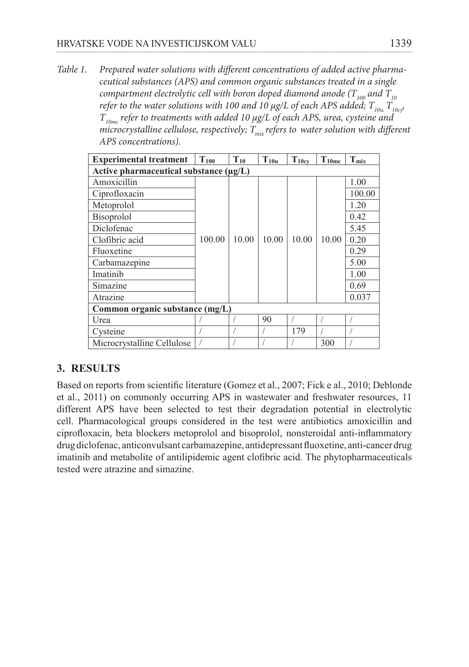*Table 1. Prepared water solutions with different concentrations of added active pharmaceutical substances (APS) and common organic substances treated in a single Table 1. Prepared water solutions with different concentrations of added active compartment electrolytic cell with boron doped diamond anode (T*  $_{\scriptscriptstyle 100}$  *and T*  $_{\scriptscriptstyle 10}$ *refer to the water solutions with 100 and 10*  $\mu$ *g/L of each APS added;*  $T_{10u}$ *,*  $T_{10c}$ *,*  $T_{_{10mc}}$  refer to treatments with added 10  $\mu$ g/L of each APS, urea, cysteine and *microcrystalline cellulose, respectively;*  $T_{\text{mix}}$  *refers to water solution with different APS concentrations).* 

| <b>Experimental treatment</b>               | $T_{100}$ | $T_{10}$ | $T_{10u}$ | $T_{10cy}$ | $T_{10m}$ | $T_{m\underline{\textbf{\textit{i}}}}$ |
|---------------------------------------------|-----------|----------|-----------|------------|-----------|----------------------------------------|
| Active pharmaceutical substance $(\mu g/L)$ |           |          |           |            |           |                                        |
| Amoxicillin                                 | 100.00    | 10.00    | 10.00     | 10.00      | 10.00     | 1.00                                   |
| Ciprofloxacin                               |           |          |           |            |           | 100.00                                 |
| Metoprolol                                  |           |          |           |            |           | 1.20                                   |
| <b>Bisoprolol</b>                           |           |          |           |            |           | 0.42                                   |
| Diclofenac                                  |           |          |           |            |           | 5.45                                   |
| Clofibric acid                              |           |          |           |            |           | 0.20                                   |
| Fluoxetine                                  |           |          |           |            |           | 0.29                                   |
| Carbamazepine                               |           |          |           |            |           | 5.00                                   |
| Imatinib                                    |           |          |           |            |           | 1.00                                   |
| Simazine                                    |           |          |           |            |           | 0.69                                   |
| Atrazine                                    |           |          |           |            |           | 0.037                                  |
| Common organic substance (mg/L)             |           |          |           |            |           |                                        |
| Urea                                        |           |          | 90        |            |           |                                        |
| Cysteine                                    |           |          |           | 179        |           |                                        |
| Microcrystalline Cellulose                  |           |          |           |            | 300       |                                        |

## **3. RESULTS**

Based on reports from scientific literature (Gomez et al., 2007; Fick e al., 2010; Deblonde et al., 2011) on commonly occurring APS in wastewater and freshwater resources, 11 different APS have been selected to test their degradation potential in electrolytic cell. Pharmacological groups considered in the test were antibiotics amoxicillin and ciprofloxacin, beta blockers metoprolol and bisoprolol, nonsteroidal anti-inflammatory drug diclofenac, anticonvulsant carbamazepine, antidepressant fluoxetine, anti-cancer drug and metabolite of antilipidemic agent clofibric acid. The phytopharmaceuticals inatinib and metabolite of antilipidemic agent clofibric acid. The phytopharmaceuticals tested were atrazine and simazine. fullip and increasing of antilipidemic agent clonome acid. The phytopharmaceutic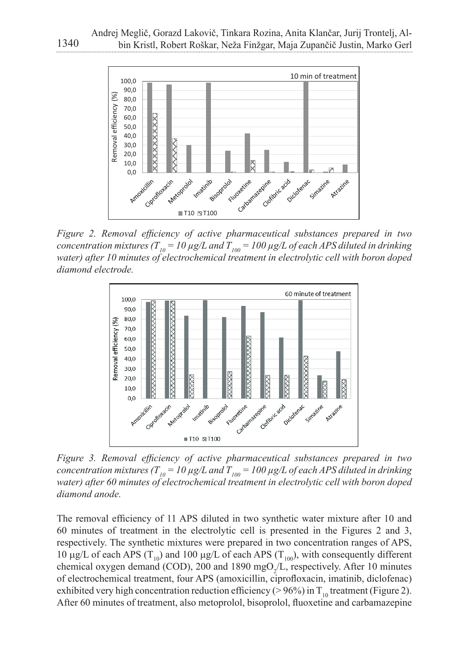

*Figure 2. Removal efficiency of active pharmaceutical substances prepared in two*  concentration mixtures (T  $_{l0}$  = 10  $\mu$ g/L and T  $_{l00}$  = 100  $\mu$ g/L of each APS diluted in drinking water) after 10 minutes of electrochemical treatment in electrolytic cell with boron doped Figure 2. Removal efficiency of active pharmaceutical substances prepared in two *diamond electrode.* 



concentration mixtures (T<sub>10</sub> = 10  $\mu$ g/L and T<sub>100</sub> = 100  $\mu$ g/L of each APS diluted in drinking water) after 60 minutes of electrochemical treatment in electrolytic cell with boron doped *drinking water) after 60 minutes of electrochemical treatment in electrolytic cell with Figure 3. Removal efficiency of active pharmaceutical substances prepared in two*  $\overline{F}$ *diamond anode.*

The removal efficiency of 11 APS diluted in two synthetic water mixture after 10 and 60 minutes of treatment in the electrolytic cell is presented in the Figures 2 and 3, respectively. The synthetic mixtures were prepared in two concentration ranges of APS, 10  $\mu$ g/L of each APS ( $T_{10}$ ) and 100  $\mu$ g/L of each APS ( $T_{100}$ ), with consequently different chemical oxygen demand (COD), 200 and 1890 mgO<sub>2</sub>/L, respectively. After 10 minutes of electrochemical treatment, four APS (amoxicillin, ciprofloxacin, imatinib, diclofenac) exhibited very high concentration reduction efficiency (> 96%) in  $T_{10}$  treatment (Figure 2). After 60 minutes of treatment, also metoprolol, bisoprolol, fluoxetine and carbamazepine  $\mu$ g/L of each APS (T<sub>10</sub>) and 100  $\mu$ g/L of each APS (T<sub>100</sub>), with consequently differ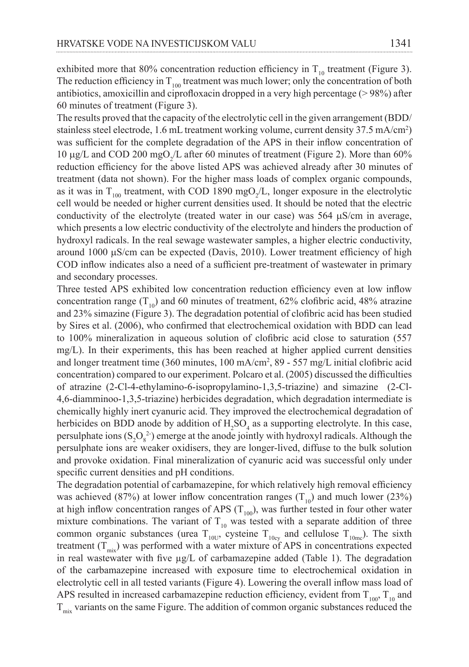exhibited more that 80% concentration reduction efficiency in  $T_{10}$  treatment (Figure 3). The reduction efficiency in  $T_{100}$  treatment was much lower; only the concentration of both antibiotics, amoxicillin and ciprofloxacin dropped in a very high percentage  $(> 98%)$  after 60 minutes of treatment (Figure 3).

The results proved that the capacity of the electrolytic cell in the given arrangement (BDD/ stainless steel electrode, 1.6 mL treatment working volume, current density 37.5 mA/cm2 ) was sufficient for the complete degradation of the APS in their inflow concentration of 10  $\mu$ g/L and COD 200 mgO<sub>2</sub>/L after 60 minutes of treatment (Figure 2). More than 60% reduction efficiency for the above listed APS was achieved already after 30 minutes of treatment (data not shown). For the higher mass loads of complex organic compounds, as it was in  $T_{100}$  treatment, with COD 1890 mgO<sub>2</sub>/L, longer exposure in the electrolytic cell would be needed or higher current densities used. It should be noted that the electric conductivity of the electrolyte (treated water in our case) was  $564 \mu S/cm$  in average, which presents a low electric conductivity of the electrolyte and hinders the production of hydroxyl radicals. In the real sewage wastewater samples, a higher electric conductivity, around 1000 µS/cm can be expected (Davis, 2010). Lower treatment efficiency of high COD inflow indicates also a need of a sufficient pre-treatment of wastewater in primary and secondary processes.

Three tested APS exhibited low concentration reduction efficiency even at low inflow concentration range  $(T_{10})$  and 60 minutes of treatment, 62% clofibric acid, 48% atrazine and 23% simazine (Figure 3). The degradation potential of clofibric acid has been studied by Sires et al. (2006), who confirmed that electrochemical oxidation with BDD can lead to 100% mineralization in aqueous solution of clofibric acid close to saturation (557 mg/L). In their experiments, this has been reached at higher applied current densities and longer treatment time (360 minutes, 100 mA/cm2 , 89 - 557 mg/L initial clofibric acid concentration) compared to our experiment. Polcaro et al. (2005) discussed the difficulties of atrazine (2-Cl-4-ethylamino-6-isopropylamino-1,3,5-triazine) and simazine (2-Cl-4,6-diamminoo-1,3,5-triazine) herbicides degradation, which degradation intermediate is chemically highly inert cyanuric acid. They improved the electrochemical degradation of herbicides on BDD anode by addition of  $H_2SO_4$  as a supporting electrolyte. In this case, persulphate ions  $(S_2O_8^2)$  emerge at the anode jointly with hydroxyl radicals. Although the persulphate ions are weaker oxidisers, they are longer-lived, diffuse to the bulk solution and provoke oxidation. Final mineralization of cyanuric acid was successful only under specific current densities and pH conditions.

The degradation potential of carbamazepine, for which relatively high removal efficiency was achieved (87%) at lower inflow concentration ranges  $(T_{10})$  and much lower (23%) at high inflow concentration ranges of APS  $(T_{100})$ , was further tested in four other water mixture combinations. The variant of  $T_{10}$  was tested with a separate addition of three common organic substances (urea  $T_{10U}$ , cysteine  $T_{10cv}$  and cellulose  $T_{10mc}$ ). The sixth treatment  $(T_{\text{mix}})$  was performed with a water mixture of APS in concentrations expected in real wastewater with five  $\mu$ g/L of carbamazepine added (Table 1). The degradation of the carbamazepine increased with exposure time to electrochemical oxidation in electrolytic cell in all tested variants (Figure 4). Lowering the overall inflow mass load of APS resulted in increased carbamazepine reduction efficiency, evident from  $T_{100}$ ,  $T_{10}$  and  $T_{\text{mix}}$  variants on the same Figure. The addition of common organic substances reduced the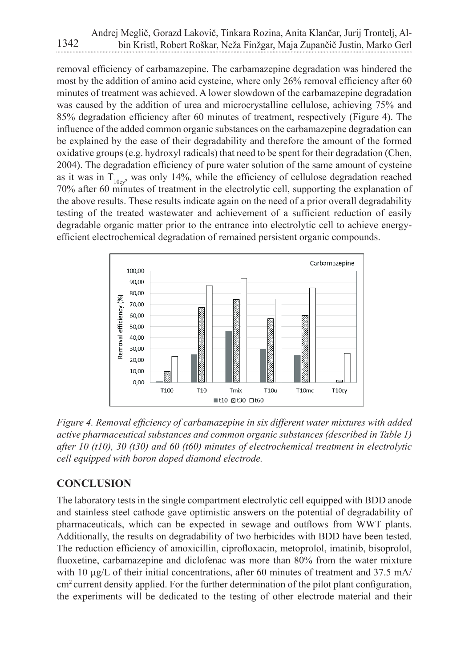removal efficiency of carbamazepine. The carbamazepine degradation was hindered the most by the addition of amino acid cysteine, where only  $26\%$  removal efficiency after 60 minutes of treatment was achieved. A lower slowdown of the carbamazepine degradation was caused by the addition of urea and microcrystalline cellulose, achieving 75% and 85% degradation efficiency after 60 minutes of treatment, respectively (Figure 4). The influence of the added common organic substances on the carbamazepine degradation can be explained by the ease of their degradability and therefore the amount of the formed oxidative groups (e.g. hydroxyl radicals) that need to be spent for their degradation (Chen, 2004). The degradation efficiency of pure water solution of the same amount of cysteine as it was in  $T_{10cy}$ , was only 14%, while the efficiency of cellulose degradation reached 70% after 60 minutes of treatment in the electrolytic cell, supporting the explanation of the above results. These results indicate again on the need of a prior overall degradability testing of the treated wastewater and achievement of a sufficient reduction of easily degradable organic matter prior to the entrance into electrolytic cell to achieve energyefficient electrochemical degradation of remained persistent organic compounds.



*Figure 4. Removal efficiency of carbamazepine in six different water mixtures with Figure 4. Removal effi ciency of carbamazepine in six different water mixtures with added added active pharmaceutical substances and common organic substances (described in active pharmaceutical substances and common organic substances (described in Table 1) Table 1) after 10 (t10), 30 (t30) and 60 (t60) minutes of electrochemical treatment in after 10 (t10), 30 (t30) and 60 (t60) minutes of electrochemical treatment in electrolytic electrolytic cell equipped with boron doped diamond electrode. cell equipped with boron doped diamond electrode.*

## **CONCLUSION**

The laboratory tests in the single compartment electrolytic cell equipped with BDD anode pharmaceuticals, which can be expected in sewage and outflows from WWT plants. Additionally, the results on degradability of two herbicides with BDD have been tested. The reduction efficiency of amoxicillin, ciprofloxacin, metoprolol, imatinib, bisoprolol, fluoxetine, carbamazepine and diclofenac was more than 80% from the water mixture with 10 µg/L of their initial concentrations, after 60 minutes of treatment and 37.5 mA/ cm<sup>2</sup> current density applied. For the further determination of the pilot plant configuration, the experiments will be dedicated to the testing of other electrode material and their the experiment and 37.5 married to the further density application of the further determination of the further and stainless steel cathode gave optimistic answers on the potential of degradability of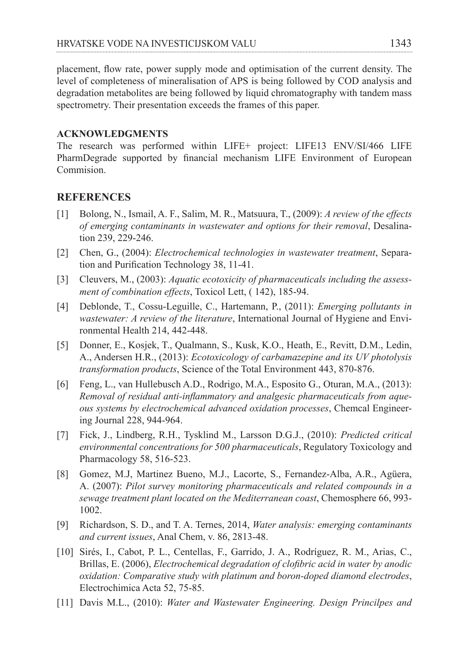placement, flow rate, power supply mode and optimisation of the current density. The level of completeness of mineralisation of APS is being followed by COD analysis and degradation metabolites are being followed by liquid chromatography with tandem mass spectrometry. Their presentation exceeds the frames of this paper.

#### **ACKNOWLEDGMENTS**

The research was performed within LIFE+ project: LIFE13 ENV/SI/466 LIFE PharmDegrade supported by financial mechanism LIFE Environment of European Commision.

#### **REFERENCES**

- [1] Bolong, N., Ismail, A. F., Salim, M. R., Matsuura, T., (2009): *A review of the effects of emerging contaminants in wastewater and options for their removal*, Desalination 239, 229-246.
- [2] Chen, G., (2004): *Electrochemical technologies in wastewater treatment*, Separation and Purification Technology 38, 11-41.
- [3] Cleuvers, M., (2003): *Aquatic ecotoxicity of pharmaceuticals including the assessment of combination effects*, Toxicol Lett, ( 142), 185-94.
- [4] Deblonde, T., Cossu-Leguille, C., Hartemann, P., (2011): *Emerging pollutants in wastewater: A review of the literature*, International Journal of Hygiene and Environmental Health 214, 442-448.
- [5] Donner, E., Kosjek, T., Qualmann, S., Kusk, K.O., Heath, E., Revitt, D.M., Ledin, A., Andersen H.R., (2013): *Ecotoxicology of carbamazepine and its UV photolysis transformation products*, Science of the Total Environment 443, 870-876.
- [6] Feng, L., van Hullebusch A.D., Rodrigo, M.A., Esposito G., Oturan, M.A., (2013): *Removal of residual anti-inflammatory and analgesic pharmaceuticals from aqueous systems by electrochemical advanced oxidation processes*, Chemcal Engineering Journal 228, 944-964.
- [7] Fick, J., Lindberg, R.H., Tysklind M., Larsson D.G.J., (2010): *Predicted critical environmental concentrations for 500 pharmaceuticals*, Regulatory Toxicology and Pharmacology 58, 516-523.
- [8] Gomez, M.J, Martinez Bueno, M.J., Lacorte, S., Fernandez-Alba, A.R., Agüera, A. (2007): *Pilot survey monitoring pharmaceuticals and related compounds in a sewage treatment plant located on the Mediterranean coast*, Chemosphere 66, 993- 1002.
- [9] Richardson, S. D., and T. A. Ternes, 2014, *Water analysis: emerging contaminants and current issues*, Anal Chem, v. 86, 2813-48.
- [10] Sirés, I., Cabot, P. L., Centellas, F., Garrido, J. A., Rodríguez, R. M., Arias, C., Brillas, E. (2006), *Electrochemical degradation of clofibric acid in water by anodic oxidation: Comparative study with platinum and boron-doped diamond electrodes*, Electrochimica Acta 52, 75-85.
- [11] Davis M.L., (2010): *Water and Wastewater Engineering. Design Princilpes and*